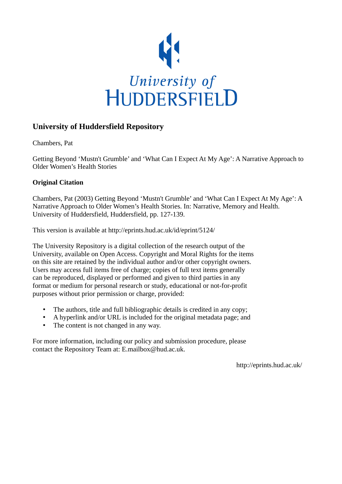

## **University of Huddersfield Repository**

Chambers, Pat

Getting Beyond 'Mustn't Grumble' and 'What Can I Expect At My Age': A Narrative Approach to Older Women's Health Stories

### **Original Citation**

Chambers, Pat (2003) Getting Beyond 'Mustn't Grumble' and 'What Can I Expect At My Age': A Narrative Approach to Older Women's Health Stories. In: Narrative, Memory and Health. University of Huddersfield, Huddersfield, pp. 127-139.

This version is available at http://eprints.hud.ac.uk/id/eprint/5124/

The University Repository is a digital collection of the research output of the University, available on Open Access. Copyright and Moral Rights for the items on this site are retained by the individual author and/or other copyright owners. Users may access full items free of charge; copies of full text items generally can be reproduced, displayed or performed and given to third parties in any format or medium for personal research or study, educational or not-for-profit purposes without prior permission or charge, provided:

- The authors, title and full bibliographic details is credited in any copy;
- A hyperlink and/or URL is included for the original metadata page; and
- The content is not changed in any way.

For more information, including our policy and submission procedure, please contact the Repository Team at: E.mailbox@hud.ac.uk.

http://eprints.hud.ac.uk/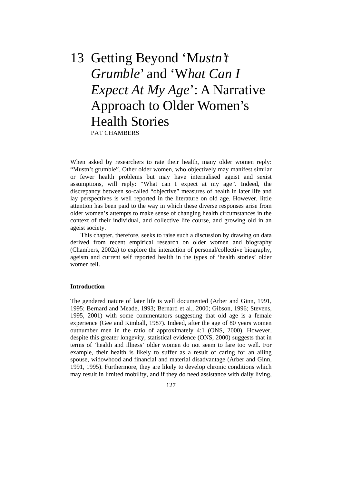# 13 Getting Beyond 'M*ustn't Grumble*' and 'W*hat Can I Expect At My Age*': A Narrative Approach to Older Women's Health Stories PAT CHAMBERS

When asked by researchers to rate their health, many older women reply: "Mustn't grumble". Other older women, who objectively may manifest similar or fewer health problems but may have internalised ageist and sexist assumptions, will reply: "What can I expect at my age". Indeed, the discrepancy between so-called "objective" measures of health in later life and lay perspectives is well reported in the literature on old age. However, little attention has been paid to the way in which these diverse responses arise from older women's attempts to make sense of changing health circumstances in the context of their individual, and collective life course, and growing old in an ageist society.

 This chapter, therefore, seeks to raise such a discussion by drawing on data derived from recent empirical research on older women and biography (Chambers, 2002a) to explore the interaction of personal/collective biography, ageism and current self reported health in the types of 'health stories' older women tell.

#### **Introduction**

The gendered nature of later life is well documented (Arber and Ginn, 1991, 1995; Bernard and Meade, 1993; Bernard et al., 2000; Gibson, 1996; Stevens, 1995, 2001) with some commentators suggesting that old age is a female experience (Gee and Kimball, 1987). Indeed, after the age of 80 years women outnumber men in the ratio of approximately 4:1 (ONS, 2000). However, despite this greater longevity, statistical evidence (ONS, 2000) suggests that in terms of 'health and illness' older women do not seem to fare too well. For example, their health is likely to suffer as a result of caring for an ailing spouse, widowhood and financial and material disadvantage (Arber and Ginn, 1991, 1995). Furthermore, they are likely to develop chronic conditions which may result in limited mobility, and if they do need assistance with daily living,

127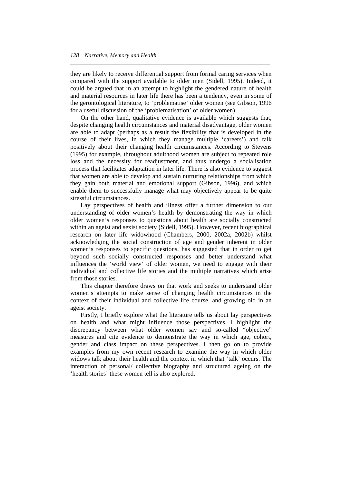they are likely to receive differential support from formal caring services when compared with the support available to older men (Sidell, 1995). Indeed, it could be argued that in an attempt to highlight the gendered nature of health and material resources in later life there has been a tendency, even in some of the gerontological literature, to 'problematise' older women (see Gibson, 1996 for a useful discussion of the 'problematisation' of older women).

*\_\_\_\_\_\_\_\_\_\_\_\_\_\_\_\_\_\_\_\_\_\_\_\_\_\_\_\_\_\_\_\_\_\_\_\_\_\_\_\_\_\_\_\_\_\_\_\_\_\_\_\_\_\_\_\_\_\_\_\_\_\_\_\_\_\_\_\_\_* 

 On the other hand, qualitative evidence is available which suggests that, despite changing health circumstances and material disadvantage, older women are able to adapt (perhaps as a result the flexibility that is developed in the course of their lives, in which they manage multiple 'careers') and talk positively about their changing health circumstances. According to Stevens (1995) for example, throughout adulthood women are subject to repeated role loss and the necessity for readjustment, and thus undergo a socialisation process that facilitates adaptation in later life. There is also evidence to suggest that women are able to develop and sustain nurturing relationships from which they gain both material and emotional support (Gibson, 1996), and which enable them to successfully manage what may objectively appear to be quite stressful circumstances.

 Lay perspectives of health and illness offer a further dimension to our understanding of older women's health by demonstrating the way in which older women's responses to questions about health are socially constructed within an ageist and sexist society (Sidell, 1995). However, recent biographical research on later life widowhood (Chambers, 2000, 2002a, 2002b) whilst acknowledging the social construction of age and gender inherent in older women's responses to specific questions, has suggested that in order to get beyond such socially constructed responses and better understand what influences the 'world view' of older women, we need to engage with their individual and collective life stories and the multiple narratives which arise from those stories.

 This chapter therefore draws on that work and seeks to understand older women's attempts to make sense of changing health circumstances in the context of their individual and collective life course, and growing old in an ageist society.

 Firstly, I briefly explore what the literature tells us about lay perspectives on health and what might influence those perspectives. I highlight the discrepancy between what older women say and so-called "objective" measures and cite evidence to demonstrate the way in which age, cohort, gender and class impact on these perspectives. I then go on to provide examples from my own recent research to examine the way in which older widows talk about their health and the context in which that 'talk' occurs. The interaction of personal/ collective biography and structured ageing on the 'health stories' these women tell is also explored.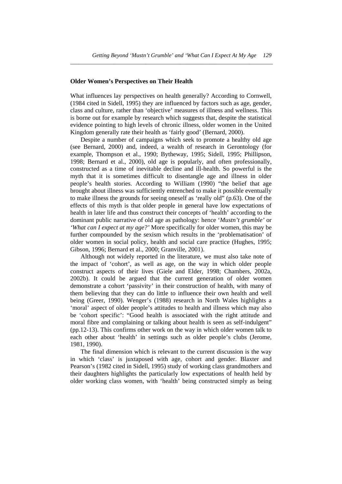*\_\_\_\_\_\_\_\_\_\_\_\_\_\_\_\_\_\_\_\_\_\_\_\_\_\_\_\_\_\_\_\_\_\_\_\_\_\_\_\_\_\_\_\_\_\_\_\_\_\_\_\_\_\_\_\_\_\_\_\_\_\_\_\_\_\_\_\_\_\_* 

#### **Older Women's Perspectives on Their Health**

What influences lay perspectives on health generally? According to Cornwell, (1984 cited in Sidell, 1995) they are influenced by factors such as age, gender, class and culture, rather than 'objective' measures of illness and wellness. This is borne out for example by research which suggests that, despite the statistical evidence pointing to high levels of chronic illness, older women in the United Kingdom generally rate their health as 'fairly good' (Bernard, 2000).

 Despite a number of campaigns which seek to promote a healthy old age (see Bernard, 2000) and, indeed, a wealth of research in Gerontology (for example, Thompson et al., 1990; Bytheway, 1995; Sidell, 1995; Phillipson, 1998; Bernard et al., 2000), old age is popularly, and often professionally, constructed as a time of inevitable decline and ill-health. So powerful is the myth that it is sometimes difficult to disentangle age and illness in older people's health stories. According to William (1990) "the belief that age brought about illness was sufficiently entrenched to make it possible eventually to make illness the grounds for seeing oneself as 'really old" (p.63). One of the effects of this myth is that older people in general have low expectations of health in later life and thus construct their concepts of 'health' according to the dominant public narrative of old age as pathology: hence '*Mustn't grumble'* or *'What can I expect at my age?'* More specifically for older women, this may be further compounded by the sexism which results in the 'problematisation' of older women in social policy, health and social care practice (Hughes, 1995; Gibson, 1996; Bernard et al., 2000; Granville, 2001).

 Although not widely reported in the literature, we must also take note of the impact of 'cohort', as well as age, on the way in which older people construct aspects of their lives (Giele and Elder, 1998; Chambers, 2002a, 2002b). It could be argued that the current generation of older women demonstrate a cohort 'passivity' in their construction of health, with many of them believing that they can do little to influence their own health and well being (Greer, 1990). Wenger's (1988) research in North Wales highlights a 'moral' aspect of older people's attitudes to health and illness which may also be 'cohort specific': "Good health is associated with the right attitude and moral fibre and complaining or talking about health is seen as self-indulgent" (pp.12-13). This confirms other work on the way in which older women talk to each other about 'health' in settings such as older people's clubs (Jerome, 1981, 1990).

 The final dimension which is relevant to the current discussion is the way in which 'class' is juxtaposed with age, cohort and gender. Blaxter and Pearson's (1982 cited in Sidell, 1995) study of working class grandmothers and their daughters highlights the particularly low expectations of health held by older working class women, with 'health' being constructed simply as being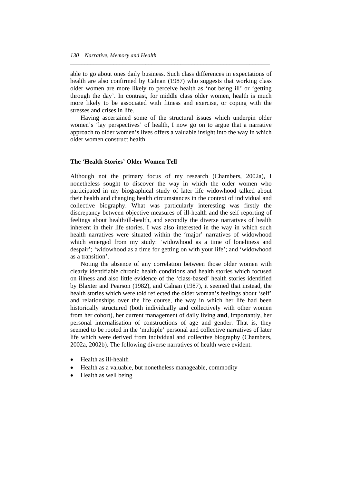able to go about ones daily business. Such class differences in expectations of health are also confirmed by Calnan (1987) who suggests that working class older women are more likely to perceive health as 'not being ill' or 'getting through the day'. In contrast, for middle class older women, health is much more likely to be associated with fitness and exercise, or coping with the stresses and crises in life.

*\_\_\_\_\_\_\_\_\_\_\_\_\_\_\_\_\_\_\_\_\_\_\_\_\_\_\_\_\_\_\_\_\_\_\_\_\_\_\_\_\_\_\_\_\_\_\_\_\_\_\_\_\_\_\_\_\_\_\_\_\_\_\_\_\_\_\_\_\_* 

 Having ascertained some of the structural issues which underpin older women's 'lay perspectives' of health, I now go on to argue that a narrative approach to older women's lives offers a valuable insight into the way in which older women construct health.

#### **The 'Health Stories' Older Women Tell**

Although not the primary focus of my research (Chambers, 2002a), I nonetheless sought to discover the way in which the older women who participated in my biographical study of later life widowhood talked about their health and changing health circumstances in the context of individual and collective biography. What was particularly interesting was firstly the discrepancy between objective measures of ill-health and the self reporting of feelings about health/ill-health, and secondly the diverse narratives of health inherent in their life stories. I was also interested in the way in which such health narratives were situated within the 'major' narratives of widowhood which emerged from my study: 'widowhood as a time of loneliness and despair'; 'widowhood as a time for getting on with your life'; and 'widowhood as a transition'.

 Noting the absence of any correlation between those older women with clearly identifiable chronic health conditions and health stories which focused on illness and also little evidence of the 'class-based' health stories identified by Blaxter and Pearson (1982), and Calnan (1987), it seemed that instead, the health stories which were told reflected the older woman's feelings about 'self' and relationships over the life course, the way in which her life had been historically structured (both individually and collectively with other women from her cohort), her current management of daily living **and**, importantly, her personal internalisation of constructions of age and gender. That is, they seemed to be rooted in the 'multiple' personal and collective narratives of later life which were derived from individual and collective biography (Chambers, 2002a, 2002b). The following diverse narratives of health were evident.

- Health as ill-health
- Health as a valuable, but nonetheless manageable, commodity
- Health as well being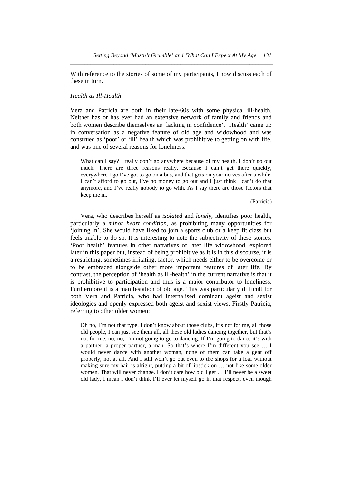With reference to the stories of some of my participants, I now discuss each of these in turn.

*\_\_\_\_\_\_\_\_\_\_\_\_\_\_\_\_\_\_\_\_\_\_\_\_\_\_\_\_\_\_\_\_\_\_\_\_\_\_\_\_\_\_\_\_\_\_\_\_\_\_\_\_\_\_\_\_\_\_\_\_\_\_\_\_\_\_\_\_\_\_* 

#### *Health as Ill-Health*

Vera and Patricia are both in their late-60s with some physical ill-health. Neither has or has ever had an extensive network of family and friends and both women describe themselves as 'lacking in confidence'. 'Health' came up in conversation as a negative feature of old age and widowhood and was construed as 'poor' or 'ill' health which was prohibitive to getting on with life, and was one of several reasons for loneliness.

What can I say? I really don't go anywhere because of my health. I don't go out much. There are three reasons really. Because I can't get there quickly, everywhere I go I've got to go on a bus, and that gets on your nerves after a while. I can't afford to go out, I've no money to go out and I just think I can't do that anymore, and I've really nobody to go with. As I say there are those factors that keep me in.

(Patricia)

 Vera, who describes herself as *isolated* and *lonely*, identifies poor health, particularly a *minor heart condition*, as prohibiting many opportunities for 'joining in'. She would have liked to join a sports club or a keep fit class but feels unable to do so. It is interesting to note the subjectivity of these stories. 'Poor health' features in other narratives of later life widowhood, explored later in this paper but, instead of being prohibitive as it is in this discourse, it is a restricting, sometimes irritating, factor, which needs either to be overcome or to be embraced alongside other more important features of later life. By contrast, the perception of 'health as ill-health' in the current narrative is that it is prohibitive to participation and thus is a major contributor to loneliness. Furthermore it is a manifestation of old age. This was particularly difficult for both Vera and Patricia, who had internalised dominant ageist and sexist ideologies and openly expressed both ageist and sexist views. Firstly Patricia, referring to other older women:

Oh no, I'm not that type. I don't know about those clubs, it's not for me, all those old people, I can just see them all, all these old ladies dancing together, but that's not for me, no, no, I'm not going to go to dancing. If I'm going to dance it's with a partner, a proper partner, a man. So that's where I'm different you see … I would never dance with another woman, none of them can take a gent off properly, not at all. And I still won't go out even to the shops for a loaf without making sure my hair is alright, putting a bit of lipstick on … not like some older women. That will never change. I don't care how old I get … I'll never be a sweet old lady, I mean I don't think I'll ever let myself go in that respect, even though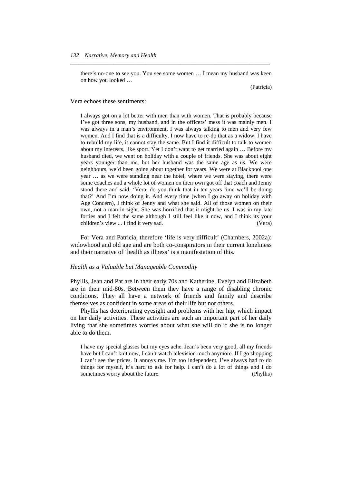there's no-one to see you. You see some women … I mean my husband was keen on how you looked …

*\_\_\_\_\_\_\_\_\_\_\_\_\_\_\_\_\_\_\_\_\_\_\_\_\_\_\_\_\_\_\_\_\_\_\_\_\_\_\_\_\_\_\_\_\_\_\_\_\_\_\_\_\_\_\_\_\_\_\_\_\_\_\_\_\_\_\_\_\_* 

(Patricia)

#### Vera echoes these sentiments:

I always got on a lot better with men than with women. That is probably because I've got three sons, my husband, and in the officers' mess it was mainly men. I was always in a man's environment, I was always talking to men and very few women. And I find that is a difficulty. I now have to re-do that as a widow. I have to rebuild my life, it cannot stay the same. But I find it difficult to talk to women about my interests, like sport. Yet I don't want to get married again … Before my husband died, we went on holiday with a couple of friends. She was about eight years younger than me, but her husband was the same age as us. We were neighbours, we'd been going about together for years. We were at Blackpool one year … as we were standing near the hotel, where we were staying, there were some coaches and a whole lot of women on their own got off that coach and Jenny stood there and said, 'Vera, do you think that in ten years time we'll be doing that?' And I'm now doing it. And every time (when I go away on holiday with Age Concern), I think of Jenny and what she said. All of those women on their own, not a man in sight. She was horrified that it might be us. I was in my late forties and I felt the same although I still feel like it now, and I think its your children's view ... I find it very sad. (Vera)

 For Vera and Patricia, therefore 'life is very difficult' (Chambers, 2002a): widowhood and old age and are both co-conspirators in their current loneliness and their narrative of 'health as illness' is a manifestation of this.

#### *Health as a Valuable but Manageable Commodity*

Phyllis, Jean and Pat are in their early 70s and Katherine, Evelyn and Elizabeth are in their mid-80s. Between them they have a range of disabling chronic conditions. They all have a network of friends and family and describe themselves as confident in some areas of their life but not others.

 Phyllis has deteriorating eyesight and problems with her hip, which impact on her daily activities. These activities are such an important part of her daily living that she sometimes worries about what she will do if she is no longer able to do them:

I have my special glasses but my eyes ache. Jean's been very good, all my friends have but I can't knit now, I can't watch television much anymore. If I go shopping I can't see the prices. It annoys me. I'm too independent, I've always had to do things for myself, it's hard to ask for help. I can't do a lot of things and I do sometimes worry about the future. (Phyllis)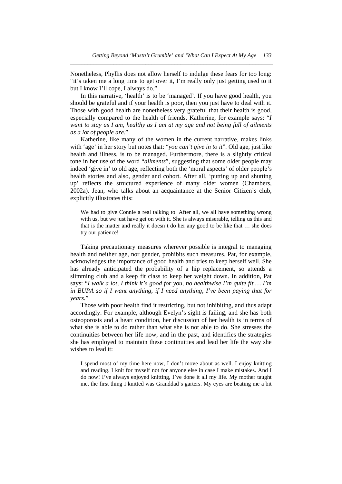Nonetheless, Phyllis does not allow herself to indulge these fears for too long: "it's taken me a long time to get over it, I'm really only just getting used to it but I know I'll cope, I always do."

*\_\_\_\_\_\_\_\_\_\_\_\_\_\_\_\_\_\_\_\_\_\_\_\_\_\_\_\_\_\_\_\_\_\_\_\_\_\_\_\_\_\_\_\_\_\_\_\_\_\_\_\_\_\_\_\_\_\_\_\_\_\_\_\_\_\_\_\_\_\_* 

 In this narrative, 'health' is to be 'managed'. If you have good health, you should be grateful and if your health is poor, then you just have to deal with it. Those with good health are nonetheless very grateful that their health is good, especially compared to the health of friends. Katherine, for example says: "*I want to stay as I am, healthy as I am at my age and not being full of ailments as a lot of people are.*"

 Katherine, like many of the women in the current narrative, makes links with 'age' in her story but notes that: "*you can't give in to it*". Old age, just like health and illness, is to be managed. Furthermore, there is a slightly critical tone in her use of the word "*ailments*", suggesting that some older people may indeed 'give in' to old age, reflecting both the 'moral aspects' of older people's health stories and also, gender and cohort. After all, 'putting up and shutting up' reflects the structured experience of many older women (Chambers, 2002a). Jean, who talks about an acquaintance at the Senior Citizen's club, explicitly illustrates this:

We had to give Connie a real talking to. After all, we all have something wrong with us, but we just have get on with it. She is always miserable, telling us this and that is the matter and really it doesn't do her any good to be like that … she does try our patience!

 Taking precautionary measures wherever possible is integral to managing health and neither age, nor gender, prohibits such measures. Pat, for example, acknowledges the importance of good health and tries to keep herself well. She has already anticipated the probability of a hip replacement, so attends a slimming club and a keep fit class to keep her weight down. In addition, Pat says: "*I walk a lot, I think it's good for you, no healthwise I'm quite fit … I'm in BUPA so if I want anything, if I need anything, I've been paying that for years.*"

 Those with poor health find it restricting, but not inhibiting, and thus adapt accordingly. For example, although Evelyn's sight is failing, and she has both osteoporosis and a heart condition, her discussion of her health is in terms of what she is able to do rather than what she is not able to do. She stresses the continuities between her life now, and in the past, and identifies the strategies she has employed to maintain these continuities and lead her life the way she wishes to lead it:

I spend most of my time here now, I don't move about as well. I enjoy knitting and reading. I knit for myself not for anyone else in case I make mistakes. And I do now! I've always enjoyed knitting, I've done it all my life. My mother taught me, the first thing I knitted was Granddad's garters. My eyes are beating me a bit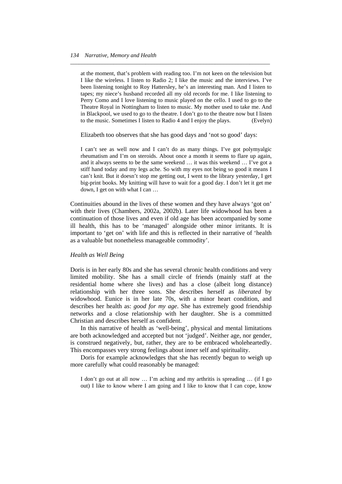at the moment, that's problem with reading too. I'm not keen on the television but I like the wireless. I listen to Radio 2; I like the music and the interviews. I've been listening tonight to Roy Hattersley, he's an interesting man. And I listen to tapes; my niece's husband recorded all my old records for me. I like listening to Perry Como and I love listening to music played on the cello. I used to go to the Theatre Royal in Nottingham to listen to music. My mother used to take me. And in Blackpool, we used to go to the theatre. I don't go to the theatre now but I listen to the music. Sometimes I listen to Radio 4 and I enjoy the plays. (Evelyn)

*\_\_\_\_\_\_\_\_\_\_\_\_\_\_\_\_\_\_\_\_\_\_\_\_\_\_\_\_\_\_\_\_\_\_\_\_\_\_\_\_\_\_\_\_\_\_\_\_\_\_\_\_\_\_\_\_\_\_\_\_\_\_\_\_\_\_\_\_\_* 

Elizabeth too observes that she has good days and 'not so good' days:

I can't see as well now and I can't do as many things. I've got polymyalgic rheumatism and I'm on steroids. About once a month it seems to flare up again, and it always seems to be the same weekend … it was this weekend … I've got a stiff hand today and my legs ache. So with my eyes not being so good it means I can't knit. But it doesn't stop me getting out, I went to the library yesterday, I get big-print books. My knitting will have to wait for a good day. I don't let it get me down, I get on with what I can …

Continuities abound in the lives of these women and they have always 'got on' with their lives (Chambers, 2002a, 2002b). Later life widowhood has been a continuation of those lives and even if old age has been accompanied by some ill health, this has to be 'managed' alongside other minor irritants. It is important to 'get on' with life and this is reflected in their narrative of 'health as a valuable but nonetheless manageable commodity'.

#### *Health as Well Being*

Doris is in her early 80s and she has several chronic health conditions and very limited mobility. She has a small circle of friends (mainly staff at the residential home where she lives) and has a close (albeit long distance) relationship with her three sons. She describes herself as *liberated* by widowhood. Eunice is in her late 70s, with a minor heart condition, and describes her health as: *good for my age*. She has extremely good friendship networks and a close relationship with her daughter. She is a committed Christian and describes herself as confident.

 In this narrative of health as 'well-being', physical and mental limitations are both acknowledged and accepted but not 'judged'. Neither age, nor gender, is construed negatively, but, rather, they are to be embraced wholeheartedly. This encompasses very strong feelings about inner self and spirituality.

 Doris for example acknowledges that she has recently begun to weigh up more carefully what could reasonably be managed:

I don't go out at all now … I'm aching and my arthritis is spreading … (if I go out) I like to know where I am going and I like to know that I can cope, know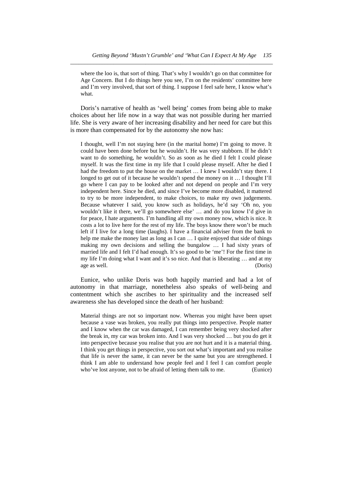where the loo is, that sort of thing. That's why I wouldn't go on that committee for Age Concern. But I do things here you see, I'm on the residents' committee here and I'm very involved, that sort of thing. I suppose I feel safe here, I know what's what.

*\_\_\_\_\_\_\_\_\_\_\_\_\_\_\_\_\_\_\_\_\_\_\_\_\_\_\_\_\_\_\_\_\_\_\_\_\_\_\_\_\_\_\_\_\_\_\_\_\_\_\_\_\_\_\_\_\_\_\_\_\_\_\_\_\_\_\_\_\_\_* 

 Doris's narrative of health as 'well being' comes from being able to make choices about her life now in a way that was not possible during her married life. She is very aware of her increasing disability and her need for care but this is more than compensated for by the autonomy she now has:

I thought, well I'm not staying here (in the marital home) I'm going to move. It could have been done before but he wouldn't. He was very stubborn. If he didn't want to do something, he wouldn't. So as soon as he died I felt I could please myself. It was the first time in my life that I could please myself. After he died I had the freedom to put the house on the market … I knew I wouldn't stay there. I longed to get out of it because he wouldn't spend the money on it … I thought I'll go where I can pay to be looked after and not depend on people and I'm very independent here. Since he died, and since I've become more disabled, it mattered to try to be more independent, to make choices, to make my own judgements. Because whatever I said, you know such as holidays, he'd say 'Oh no, you wouldn't like it there, we'll go somewhere else' … and do you know I'd give in for peace, I hate arguments. I'm handling all my own money now, which is nice. It costs a lot to live here for the rest of my life. The boys know there won't be much left if I live for a long time (laughs). I have a financial adviser from the bank to help me make the money last as long as I can  $\dots$  I quite enjoyed that side of things making my own decisions and selling the bungalow … I had sixty years of married life and I felt I'd had enough. It's so good to be 'me'! For the first time in my life I'm doing what I want and it's so nice. And that is liberating … and at my age as well. (Doris)

 Eunice, who unlike Doris was both happily married and had a lot of autonomy in that marriage, nonetheless also speaks of well-being and contentment which she ascribes to her spirituality and the increased self awareness she has developed since the death of her husband:

Material things are not so important now. Whereas you might have been upset because a vase was broken, you really put things into perspective. People matter and I know when the car was damaged, I can remember being very shocked after the break in, my car was broken into. And I was very shocked … but you do get it into perspective because you realise that you are not hurt and it is a material thing. I think you get things in perspective, you sort out what's important and you realise that life is never the same, it can never be the same but you are strengthened. I think I am able to understand how people feel and I feel I can comfort people who've lost anyone, not to be afraid of letting them talk to me. (Eunice)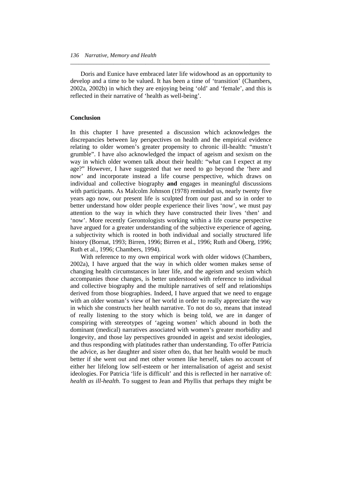Doris and Eunice have embraced later life widowhood as an opportunity to develop and a time to be valued. It has been a time of 'transition' (Chambers, 2002a, 2002b) in which they are enjoying being 'old' and 'female', and this is reflected in their narrative of 'health as well-being'.

*\_\_\_\_\_\_\_\_\_\_\_\_\_\_\_\_\_\_\_\_\_\_\_\_\_\_\_\_\_\_\_\_\_\_\_\_\_\_\_\_\_\_\_\_\_\_\_\_\_\_\_\_\_\_\_\_\_\_\_\_\_\_\_\_\_\_\_\_\_* 

#### **Conclusion**

In this chapter I have presented a discussion which acknowledges the discrepancies between lay perspectives on health and the empirical evidence relating to older women's greater propensity to chronic ill-health: "mustn't grumble". I have also acknowledged the impact of ageism and sexism on the way in which older women talk about their health: "what can I expect at my age?" However, I have suggested that we need to go beyond the 'here and now' and incorporate instead a life course perspective, which draws on individual and collective biography **and** engages in meaningful discussions with participants. As Malcolm Johnson (1978) reminded us, nearly twenty five years ago now, our present life is sculpted from our past and so in order to better understand how older people experience their lives 'now', we must pay attention to the way in which they have constructed their lives 'then' and 'now'. More recently Gerontologists working within a life course perspective have argued for a greater understanding of the subjective experience of ageing, a subjectivity which is rooted in both individual and socially structured life history (Bornat, 1993; Birren, 1996; Birren et al., 1996; Ruth and Oberg, 1996; Ruth et al., 1996; Chambers, 1994).

With reference to my own empirical work with older widows (Chambers, 2002a), I have argued that the way in which older women makes sense of changing health circumstances in later life, and the ageism and sexism which accompanies those changes, is better understood with reference to individual and collective biography and the multiple narratives of self and relationships derived from those biographies. Indeed, I have argued that we need to engage with an older woman's view of her world in order to really appreciate the way in which she constructs her health narrative. To not do so, means that instead of really listening to the story which is being told, we are in danger of conspiring with stereotypes of 'ageing women' which abound in both the dominant (medical) narratives associated with women's greater morbidity and longevity, and those lay perspectives grounded in ageist and sexist ideologies, and thus responding with platitudes rather than understanding. To offer Patricia the advice, as her daughter and sister often do, that her health would be much better if she went out and met other women like herself, takes no account of either her lifelong low self-esteem or her internalisation of ageist and sexist ideologies. For Patricia 'life is difficult' and this is reflected in her narrative of: *health as ill-health*. To suggest to Jean and Phyllis that perhaps they might be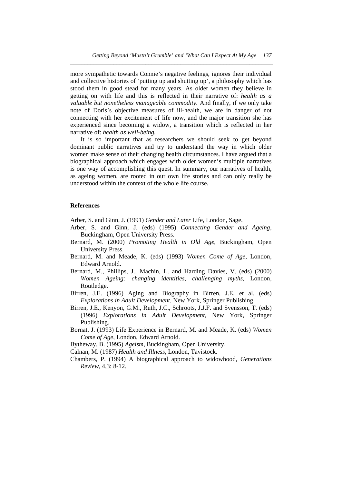more sympathetic towards Connie's negative feelings, ignores their individual and collective histories of 'putting up and shutting up', a philosophy which has stood them in good stead for many years. As older women they believe in getting on with life and this is reflected in their narrative of: *health as a valuable but nonetheless manageable commodity.* And finally, if we only take note of Doris's objective measures of ill-health, we are in danger of not connecting with her excitement of life now, and the major transition she has experienced since becoming a widow, a transition which is reflected in her narrative of: *health as well-being.*

*\_\_\_\_\_\_\_\_\_\_\_\_\_\_\_\_\_\_\_\_\_\_\_\_\_\_\_\_\_\_\_\_\_\_\_\_\_\_\_\_\_\_\_\_\_\_\_\_\_\_\_\_\_\_\_\_\_\_\_\_\_\_\_\_\_\_\_\_\_\_* 

 It is so important that as researchers we should seek to get beyond dominant public narratives and try to understand the way in which older women make sense of their changing health circumstances. I have argued that a biographical approach which engages with older women's multiple narratives is one way of accomplishing this quest. In summary, our narratives of health, as ageing women, are rooted in our own life stories and can only really be understood within the context of the whole life course.

#### **References**

Arber, S. and Ginn, J. (1991) *Gender and Later* Life, London, Sage.

- Arber, S. and Ginn, J. (eds) (1995) *Connecting Gender and Ageing*, Buckingham, Open University Press.
- Bernard, M. (2000) *Promoting Health in Old Age*, Buckingham, Open University Press.
- Bernard, M. and Meade, K. (eds) (1993) *Women Come of Age*, London, Edward Arnold.
- Bernard, M., Phillips, J., Machin, L. and Harding Davies, V. (eds) (2000) *Women Ageing: changing identities, challenging myths*, London, Routledge.
- Birren, J.E. (1996) Aging and Biography in Birren, J.E. et al. (eds) *Explorations in Adult Development*, New York, Springer Publishing.
- Birren, J.E., Kenyon, G.M., Ruth, J.C., Schroots, J.J.F. and Svensson, T. (eds) (1996) *Explorations in Adult Development*, New York, Springer Publishing.
- Bornat, J. (1993) Life Experience in Bernard, M. and Meade, K. (eds) *Women Come of Age*, London, Edward Arnold.

Bytheway, B. (1995) *Ageism*, Buckingham, Open University.

Calnan, M. (1987) *Health and Illness*, London, Tavistock.

Chambers, P. (1994) A biographical approach to widowhood, *Generations Review*, 4,3: 8-12.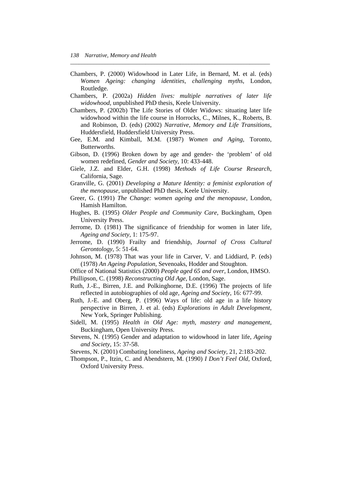Chambers, P. (2000) Widowhood in Later Life, in Bernard, M. et al. (eds) *Women Ageing: changing identities, challenging myths*, London, Routledge.

*\_\_\_\_\_\_\_\_\_\_\_\_\_\_\_\_\_\_\_\_\_\_\_\_\_\_\_\_\_\_\_\_\_\_\_\_\_\_\_\_\_\_\_\_\_\_\_\_\_\_\_\_\_\_\_\_\_\_\_\_\_\_\_\_\_\_\_\_\_* 

- Chambers, P. (2002a) *Hidden lives: multiple narratives of later life widowhood*, unpublished PhD thesis, Keele University.
- Chambers, P. (2002b) The Life Stories of Older Widows: situating later life widowhood within the life course in Horrocks, C., Milnes, K., Roberts, B. and Robinson, D. (eds) (2002) *Narrative, Memory and Life Transitions*, Huddersfield, Huddersfield University Press.
- Gee, E.M. and Kimball, M.M. (1987) *Women and Aging*, Toronto, Butterworths.
- Gibson, D. (1996) Broken down by age and gender- the 'problem' of old women redefined, *Gender and Society*, 10: 433-448.
- Giele, J.Z. and Elder, G.H. (1998) *Methods of Life Course Research*, California, Sage.
- Granville, G. (2001) *Developing a Mature Identity: a feminist exploration of the menopause*, unpublished PhD thesis, Keele University.
- Greer, G. (1991) *The Change: women ageing and the menopause*, London, Hamish Hamilton.
- Hughes, B. (1995) *Older People and Community Care*, Buckingham, Open University Press.
- Jerrome, D. (1981) The significance of friendship for women in later life, *Ageing and Society*, 1: 175-97.
- Jerrome, D. (1990) Frailty and friendship, *Journal of Cross Cultural Gerontology*, 5: 51-64.
- Johnson, M. (1978) That was your life in Carver, V. and Liddiard, P. (eds) (1978) *An Ageing Population*, Sevenoaks, Hodder and Stoughton.
- Office of National Statistics (2000) *People aged 65 and over*, London, HMSO. Phillipson, C. (1998) *Reconstructing Old Age*, London, Sage.
- Ruth, J.-E., Birren, J.E. and Polkinghorne, D.E. (1996) The projects of life reflected in autobiographies of old age, *Ageing and Society*, 16: 677-99.
- Ruth, J.-E. and Oberg, P. (1996) Ways of life: old age in a life history perspective in Birren, J. et al. (eds) *Explorations in Adult Development*, New York, Springer Publishing.
- Sidell, M. (1995) *Health in Old Age: myth, mastery and management*, Buckingham, Open University Press.
- Stevens, N. (1995) Gender and adaptation to widowhood in later life, *Ageing and Society*, 15: 37-58.
- Stevens, N. (2001) Combating loneliness, *Ageing and Society*, 21, 2:183-202.
- Thompson, P., Itzin, C. and Abendstern, M. (1990) *I Don't Feel Old*, Oxford, Oxford University Press.